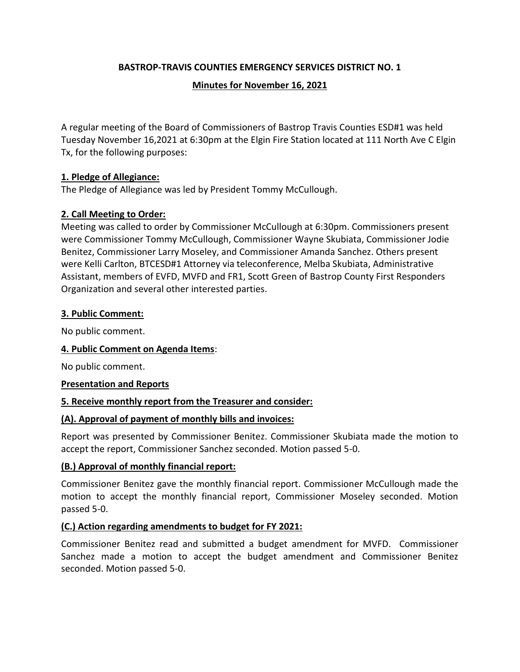## **BASTROP-TRAVIS COUNTIES EMERGENCY SERVICES DISTRICT NO. 1**

#### **Minutes for November 16, 2021**

A regular meeting of the Board of Commissioners of Bastrop Travis Counties ESD#1 was held Tuesday November 16,2021 at 6:30pm at the Elgin Fire Station located at 111 North Ave C Elgin Tx, for the following purposes:

### **1. Pledge of Allegiance:**

The Pledge of Allegiance was led by President Tommy McCullough.

## **2. Call Meeting to Order:**

Meeting was called to order by Commissioner McCullough at 6:30pm. Commissioners present were Commissioner Tommy McCullough, Commissioner Wayne Skubiata, Commissioner Jodie Benitez, Commissioner Larry Moseley, and Commissioner Amanda Sanchez. Others present were Kelli Carlton, BTCESD#1 Attorney via teleconference, Melba Skubiata, Administrative Assistant, members of EVFD, MVFD and FR1, Scott Green of Bastrop County First Responders Organization and several other interested parties.

#### **3. Public Comment:**

No public comment.

#### **4. Public Comment on Agenda Items**:

No public comment.

#### **Presentation and Reports**

#### **5. Receive monthly report from the Treasurer and consider:**

#### **(A). Approval of payment of monthly bills and invoices:**

Report was presented by Commissioner Benitez. Commissioner Skubiata made the motion to accept the report, Commissioner Sanchez seconded. Motion passed 5-0.

#### **(B.) Approval of monthly financial report:**

Commissioner Benitez gave the monthly financial report. Commissioner McCullough made the motion to accept the monthly financial report, Commissioner Moseley seconded. Motion passed 5-0.

#### **(C.) Action regarding amendments to budget for FY 2021:**

Commissioner Benitez read and submitted a budget amendment for MVFD. Commissioner Sanchez made a motion to accept the budget amendment and Commissioner Benitez seconded. Motion passed 5-0.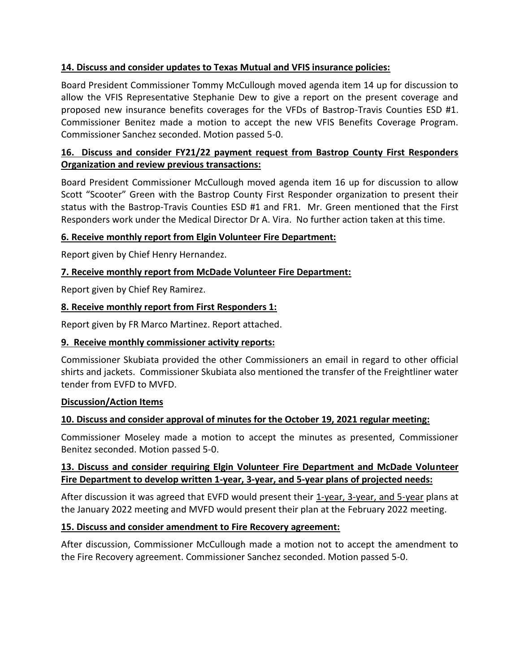# **14. Discuss and consider updates to Texas Mutual and VFIS insurance policies:**

Board President Commissioner Tommy McCullough moved agenda item 14 up for discussion to allow the VFIS Representative Stephanie Dew to give a report on the present coverage and proposed new insurance benefits coverages for the VFDs of Bastrop-Travis Counties ESD #1. Commissioner Benitez made a motion to accept the new VFIS Benefits Coverage Program. Commissioner Sanchez seconded. Motion passed 5-0.

# **16. Discuss and consider FY21/22 payment request from Bastrop County First Responders Organization and review previous transactions:**

Board President Commissioner McCullough moved agenda item 16 up for discussion to allow Scott "Scooter" Green with the Bastrop County First Responder organization to present their status with the Bastrop-Travis Counties ESD #1 and FR1. Mr. Green mentioned that the First Responders work under the Medical Director Dr A. Vira. No further action taken at this time.

# **6. Receive monthly report from Elgin Volunteer Fire Department:**

Report given by Chief Henry Hernandez.

# **7. Receive monthly report from McDade Volunteer Fire Department:**

Report given by Chief Rey Ramirez.

# **8. Receive monthly report from First Responders 1:**

Report given by FR Marco Martinez. Report attached.

## **9. Receive monthly commissioner activity reports:**

Commissioner Skubiata provided the other Commissioners an email in regard to other official shirts and jackets. Commissioner Skubiata also mentioned the transfer of the Freightliner water tender from EVFD to MVFD.

## **Discussion/Action Items**

## **10. Discuss and consider approval of minutes for the October 19, 2021 regular meeting:**

Commissioner Moseley made a motion to accept the minutes as presented, Commissioner Benitez seconded. Motion passed 5-0.

# **13. Discuss and consider requiring Elgin Volunteer Fire Department and McDade Volunteer Fire Department to develop written 1-year, 3-year, and 5-year plans of projected needs:**

After discussion it was agreed that EVFD would present their 1-year, 3-year, and 5-year plans at the January 2022 meeting and MVFD would present their plan at the February 2022 meeting.

## **15. Discuss and consider amendment to Fire Recovery agreement:**

After discussion, Commissioner McCullough made a motion not to accept the amendment to the Fire Recovery agreement. Commissioner Sanchez seconded. Motion passed 5-0.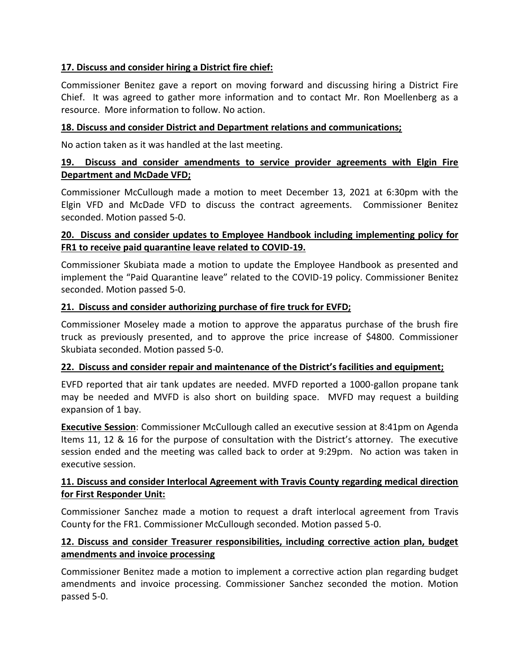## **17. Discuss and consider hiring a District fire chief:**

Commissioner Benitez gave a report on moving forward and discussing hiring a District Fire Chief. It was agreed to gather more information and to contact Mr. Ron Moellenberg as a resource. More information to follow. No action.

### **18. Discuss and consider District and Department relations and communications;**

No action taken as it was handled at the last meeting.

## **19. Discuss and consider amendments to service provider agreements with Elgin Fire Department and McDade VFD;**

Commissioner McCullough made a motion to meet December 13, 2021 at 6:30pm with the Elgin VFD and McDade VFD to discuss the contract agreements. Commissioner Benitez seconded. Motion passed 5-0.

## **20. Discuss and consider updates to Employee Handbook including implementing policy for FR1 to receive paid quarantine leave related to COVID-19.**

Commissioner Skubiata made a motion to update the Employee Handbook as presented and implement the "Paid Quarantine leave" related to the COVID-19 policy. Commissioner Benitez seconded. Motion passed 5-0.

#### **21. Discuss and consider authorizing purchase of fire truck for EVFD;**

Commissioner Moseley made a motion to approve the apparatus purchase of the brush fire truck as previously presented, and to approve the price increase of \$4800. Commissioner Skubiata seconded. Motion passed 5-0.

#### **22. Discuss and consider repair and maintenance of the District's facilities and equipment;**

EVFD reported that air tank updates are needed. MVFD reported a 1000-gallon propane tank may be needed and MVFD is also short on building space. MVFD may request a building expansion of 1 bay.

**Executive Session**: Commissioner McCullough called an executive session at 8:41pm on Agenda Items 11, 12 & 16 for the purpose of consultation with the District's attorney. The executive session ended and the meeting was called back to order at 9:29pm. No action was taken in executive session.

## **11. Discuss and consider Interlocal Agreement with Travis County regarding medical direction for First Responder Unit:**

Commissioner Sanchez made a motion to request a draft interlocal agreement from Travis County for the FR1. Commissioner McCullough seconded. Motion passed 5-0.

## **12. Discuss and consider Treasurer responsibilities, including corrective action plan, budget amendments and invoice processing**

Commissioner Benitez made a motion to implement a corrective action plan regarding budget amendments and invoice processing. Commissioner Sanchez seconded the motion. Motion passed 5-0.